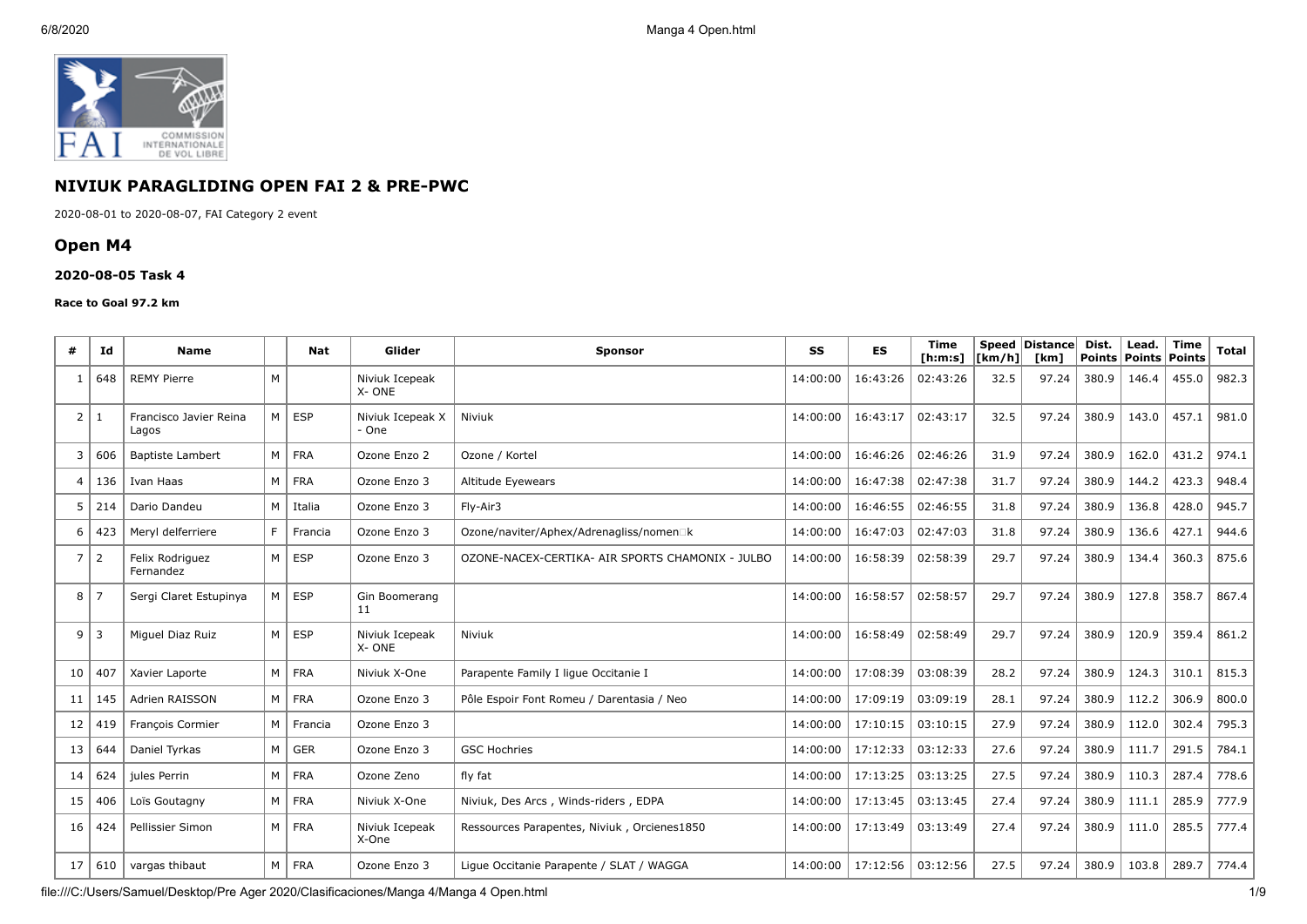

# **NIVIUK PARAGLIDING OPEN FAI 2 & PRE-PWC**

2020-08-01 to 2020-08-07, FAI Category 2 event

# **Open M4**

### **2020-08-05 Task 4**

#### **Race to Goal 97.2 km**

| #              | Ιd             | <b>Name</b>                     |                | Nat           | Glider                    | <b>Sponsor</b>                                   | SS       | <b>ES</b> | <b>Time</b><br>[ h: m: s] | [km/h] | Speed Distance<br>[km] | Dist. | Lead.<br>Points   Points | Time<br>Points | <b>Total</b> |
|----------------|----------------|---------------------------------|----------------|---------------|---------------------------|--------------------------------------------------|----------|-----------|---------------------------|--------|------------------------|-------|--------------------------|----------------|--------------|
| -1             | 648            | <b>REMY Pierre</b>              | M              |               | Niviuk Icepeak<br>X-ONE   |                                                  | 14:00:00 | 16:43:26  | 02:43:26                  | 32.5   | 97.24                  | 380.9 | 146.4                    | 455.0          | 982.3        |
| $\overline{2}$ | -1             | Francisco Javier Reina<br>Lagos | M              | <b>ESP</b>    | Niviuk Icepeak X<br>- One | Niviuk                                           | 14:00:00 | 16:43:17  | 02:43:17                  | 32.5   | 97.24                  | 380.9 | 143.0                    | 457.1          | 981.0        |
| 3              | 606            | <b>Baptiste Lambert</b>         |                | M FRA         | Ozone Enzo 2              | Ozone / Kortel                                   | 14:00:00 | 16:46:26  | 02:46:26                  | 31.9   | 97.24                  | 380.9 | 162.0                    | 431.2          | 974.1        |
| 4              | 136            | Ivan Haas                       |                | $M$   FRA     | Ozone Enzo 3              | Altitude Eyewears                                | 14:00:00 | 16:47:38  | 02:47:38                  | 31.7   | 97.24                  | 380.9 | 144.2                    | 423.3          | 948.4        |
| 5              | 214            | Dario Dandeu                    | M              | Italia        | Ozone Enzo 3              | Fly-Air3                                         | 14:00:00 | 16:46:55  | 02:46:55                  | 31.8   | 97.24                  | 380.9 | 136.8                    | 428.0          | 945.7        |
| 6              | 423            | Meryl delferriere               | E              | Francia       | Ozone Enzo 3              | Ozone/naviter/Aphex/Adrenagliss/nomen□k          | 14:00:00 | 16:47:03  | 02:47:03                  | 31.8   | 97.24                  | 380.9 | 136.6                    | 427.1          | 944.6        |
| $\overline{7}$ | $\overline{2}$ | Felix Rodriguez<br>Fernandez    | M              | <b>ESP</b>    | Ozone Enzo 3              | OZONE-NACEX-CERTIKA- AIR SPORTS CHAMONIX - JULBO | 14:00:00 | 16:58:39  | 02:58:39                  | 29.7   | 97.24                  | 380.9 | 134.4                    | 360.3          | 875.6        |
| 8              | 7              | Sergi Claret Estupinya          | M              | <b>ESP</b>    | Gin Boomerang<br>11       |                                                  | 14:00:00 | 16:58:57  | 02:58:57                  | 29.7   | 97.24                  | 380.9 | 127.8                    | 358.7          | 867.4        |
| 9              | $\overline{3}$ | Miguel Diaz Ruiz                |                | $M \vert$ ESP | Niviuk Icepeak<br>X-ONE   | Niviuk                                           | 14:00:00 | 16:58:49  | 02:58:49                  | 29.7   | 97.24                  | 380.9 | 120.9                    | 359.4          | 861.2        |
| 10             | 407            | Xavier Laporte                  |                | M FRA         | Niviuk X-One              | Parapente Family I lique Occitanie I             | 14:00:00 | 17:08:39  | 03:08:39                  | 28.2   | 97.24                  | 380.9 | 124.3                    | 310.1          | 815.3        |
| 11             | 145            | Adrien RAISSON                  |                | $M$   FRA     | Ozone Enzo 3              | Pôle Espoir Font Romeu / Darentasia / Neo        | 14:00:00 | 17:09:19  | 03:09:19                  | 28.1   | 97.24                  | 380.9 | 112.2                    | 306.9          | 800.0        |
| 12             | 419            | François Cormier                |                | M   Francia   | Ozone Enzo 3              |                                                  | 14:00:00 | 17:10:15  | 03:10:15                  | 27.9   | 97.24                  | 380.9 | 112.0                    | 302.4          | 795.3        |
| 13             | 644            | Daniel Tyrkas                   |                | $M \mid GER$  | Ozone Enzo 3              | <b>GSC Hochries</b>                              | 14:00:00 | 17:12:33  | 03:12:33                  | 27.6   | 97.24                  | 380.9 | 111.7                    | 291.5          | 784.1        |
| 14             | 624            | jules Perrin                    |                | M FRA         | Ozone Zeno                | fly fat                                          | 14:00:00 | 17:13:25  | 03:13:25                  | 27.5   | 97.24                  | 380.9 | 110.3                    | 287.4          | 778.6        |
| 15             | 406            | Loïs Goutagny                   |                | M FRA         | Niviuk X-One              | Niviuk, Des Arcs, Winds-riders, EDPA             | 14:00:00 | 17:13:45  | 03:13:45                  | 27.4   | 97.24                  | 380.9 | 111.1                    | 285.9          | 777.9        |
| 16             | 424            | Pellissier Simon                | M <sub>1</sub> | <b>FRA</b>    | Niviuk Icepeak<br>X-One   | Ressources Parapentes, Niviuk, Orcienes1850      | 14:00:00 | 17:13:49  | 03:13:49                  | 27.4   | 97.24                  | 380.9 | 111.0                    | 285.5          | 777.4        |
| 17             | 610            | vargas thibaut                  |                | M FRA         | Ozone Enzo 3              | Lique Occitanie Parapente / SLAT / WAGGA         | 14:00:00 | 17:12:56  | 03:12:56                  | 27.5   | 97.24                  | 380.9 | 103.8                    | 289.7          | 774.4        |

file:///C:/Users/Samuel/Desktop/Pre Ager 2020/Clasificaciones/Manga 4/Manga 4 Open.html 1/9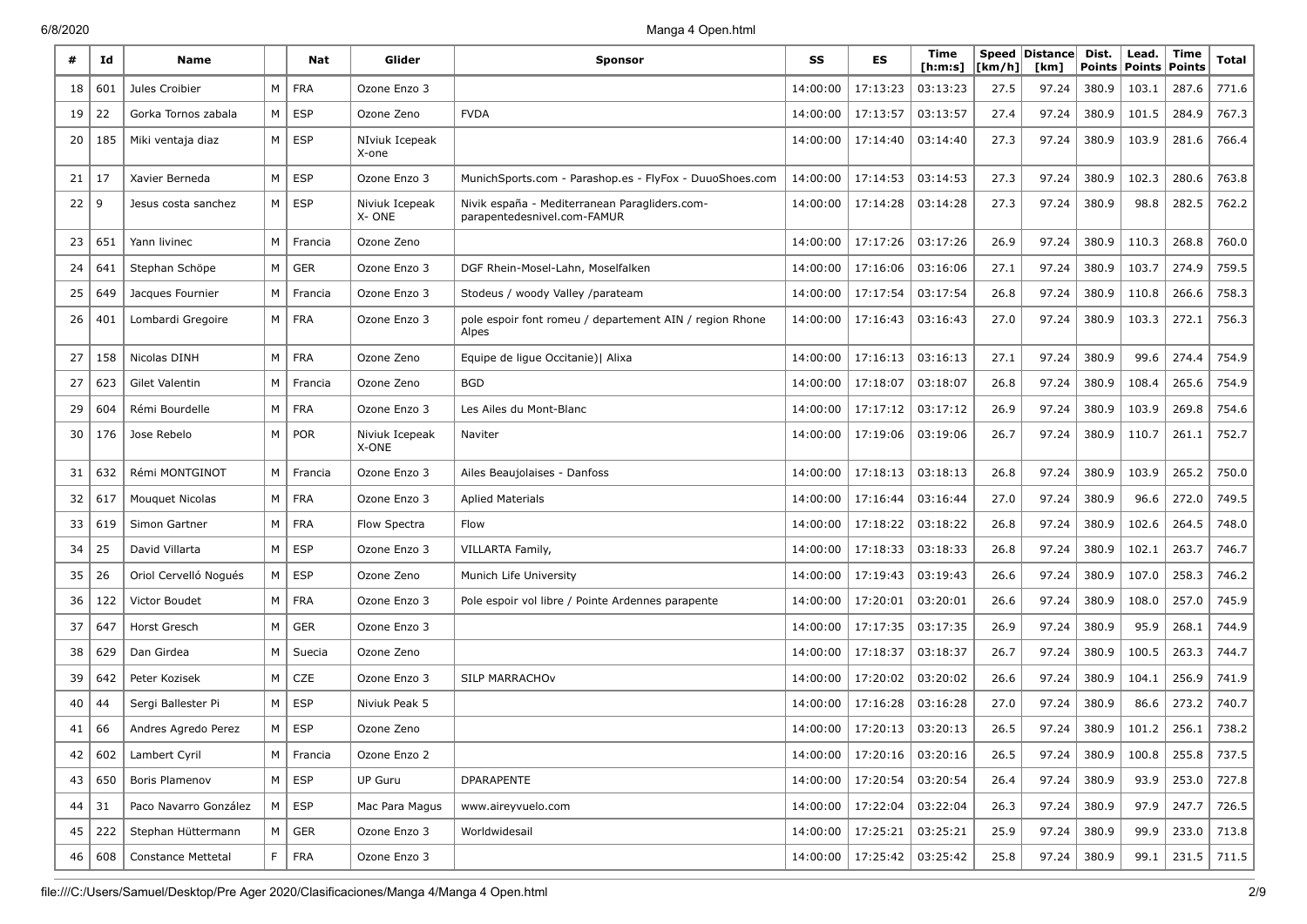| #  | Id  | <b>Name</b>               |                | Nat           | Glider                  | <b>Sponsor</b>                                                               | SS       | <b>ES</b> | Time<br>[ h: m: s] | [km/h] | Speed Distance<br>[km] | Dist.<br><b>Points</b> | Lead.<br><b>Points</b> | Time<br><b>Points</b> | Total |
|----|-----|---------------------------|----------------|---------------|-------------------------|------------------------------------------------------------------------------|----------|-----------|--------------------|--------|------------------------|------------------------|------------------------|-----------------------|-------|
| 18 | 601 | Jules Croibier            | M              | <b>FRA</b>    | Ozone Enzo 3            |                                                                              | 14:00:00 | 17:13:23  | 03:13:23           | 27.5   | 97.24                  | 380.9                  | 103.1                  | 287.6                 | 771.6 |
| 19 | 22  | Gorka Tornos zabala       |                | $M \vert$ ESP | Ozone Zeno              | <b>FVDA</b>                                                                  | 14:00:00 | 17:13:57  | 03:13:57           | 27.4   | 97.24                  | 380.9                  | 101.5                  | 284.9                 | 767.3 |
| 20 | 185 | Miki ventaja diaz         | M <sub>1</sub> | ESP           | NIviuk Icepeak<br>X-one |                                                                              | 14:00:00 | 17:14:40  | 03:14:40           | 27.3   | 97.24                  | 380.9                  | 103.9                  | 281.6                 | 766.4 |
| 21 | 17  | Xavier Berneda            | M              | <b>ESP</b>    | Ozone Enzo 3            | MunichSports.com - Parashop.es - FlyFox - DuuoShoes.com                      | 14:00:00 | 17:14:53  | 03:14:53           | 27.3   | 97.24                  | 380.9                  | 102.3                  | 280.6                 | 763.8 |
| 22 | 9   | Jesus costa sanchez       |                | $M \vert$ ESP | Niviuk Icepeak<br>X-ONE | Nivik españa - Mediterranean Paragliders.com-<br>parapentedesnivel.com-FAMUR | 14:00:00 | 17:14:28  | 03:14:28           | 27.3   | 97.24                  | 380.9                  | 98.8                   | 282.5                 | 762.2 |
| 23 | 651 | Yann livinec              | M              | Francia       | Ozone Zeno              |                                                                              | 14:00:00 | 17:17:26  | 03:17:26           | 26.9   | 97.24                  | 380.9                  | 110.3                  | 268.8                 | 760.0 |
| 24 | 641 | Stephan Schöpe            | M              | <b>GER</b>    | Ozone Enzo 3            | DGF Rhein-Mosel-Lahn, Moselfalken                                            | 14:00:00 | 17:16:06  | 03:16:06           | 27.1   | 97.24                  | 380.9                  | 103.7                  | 274.9                 | 759.5 |
| 25 | 649 | Jacques Fournier          | М              | Francia       | Ozone Enzo 3            | Stodeus / woody Valley /parateam                                             | 14:00:00 | 17:17:54  | 03:17:54           | 26.8   | 97.24                  | 380.9                  | 110.8                  | 266.6                 | 758.3 |
| 26 | 401 | Lombardi Gregoire         |                | M   FRA       | Ozone Enzo 3            | pole espoir font romeu / departement AIN / region Rhone<br>Alpes             | 14:00:00 | 17:16:43  | 03:16:43           | 27.0   | 97.24                  | 380.9                  | 103.3                  | 272.1                 | 756.3 |
| 27 | 158 | Nicolas DINH              | M              | FRA           | Ozone Zeno              | Equipe de ligue Occitanie)   Alixa                                           | 14:00:00 | 17:16:13  | 03:16:13           | 27.1   | 97.24                  | 380.9                  | 99.6                   | 274.4                 | 754.9 |
| 27 | 623 | <b>Gilet Valentin</b>     | M              | Francia       | Ozone Zeno              | <b>BGD</b>                                                                   | 14:00:00 | 17:18:07  | 03:18:07           | 26.8   | 97.24                  | 380.9                  | 108.4                  | 265.6                 | 754.9 |
| 29 | 604 | Rémi Bourdelle            | M              | <b>FRA</b>    | Ozone Enzo 3            | Les Ailes du Mont-Blanc                                                      | 14:00:00 | 17:17:12  | 03:17:12           | 26.9   | 97.24                  | 380.9                  | 103.9                  | 269.8                 | 754.6 |
| 30 | 176 | Jose Rebelo               | M              | <b>POR</b>    | Niviuk Icepeak<br>X-ONE | Naviter                                                                      | 14:00:00 | 17:19:06  | 03:19:06           | 26.7   | 97.24                  | 380.9                  | 110.7                  | 261.1                 | 752.7 |
| 31 | 632 | Rémi MONTGINOT            | M              | Francia       | Ozone Enzo 3            | Ailes Beaujolaises - Danfoss                                                 | 14:00:00 | 17:18:13  | 03:18:13           | 26.8   | 97.24                  | 380.9                  | 103.9                  | 265.2                 | 750.0 |
| 32 | 617 | Mouquet Nicolas           | M              | <b>FRA</b>    | Ozone Enzo 3            | Aplied Materials                                                             | 14:00:00 | 17:16:44  | 03:16:44           | 27.0   | 97.24                  | 380.9                  | 96.6                   | 272.0                 | 749.5 |
| 33 | 619 | Simon Gartner             |                | $M \mid FRA$  | Flow Spectra            | Flow                                                                         | 14:00:00 | 17:18:22  | 03:18:22           | 26.8   | 97.24                  | 380.9                  | 102.6                  | 264.5                 | 748.0 |
| 34 | 25  | David Villarta            | M              | <b>ESP</b>    | Ozone Enzo 3            | VILLARTA Family,                                                             | 14:00:00 | 17:18:33  | 03:18:33           | 26.8   | 97.24                  | 380.9                  | 102.1                  | 263.7                 | 746.7 |
| 35 | 26  | Oriol Cervelló Nogués     | M              | <b>ESP</b>    | Ozone Zeno              | Munich Life University                                                       | 14:00:00 | 17:19:43  | 03:19:43           | 26.6   | 97.24                  | 380.9                  | 107.0                  | 258.3                 | 746.2 |
| 36 | 122 | Victor Boudet             | M              | <b>FRA</b>    | Ozone Enzo 3            | Pole espoir vol libre / Pointe Ardennes parapente                            | 14:00:00 | 17:20:01  | 03:20:01           | 26.6   | 97.24                  | 380.9                  | 108.0                  | 257.0                 | 745.9 |
| 37 | 647 | Horst Gresch              | M              | <b>GER</b>    | Ozone Enzo 3            |                                                                              | 14:00:00 | 17:17:35  | 03:17:35           | 26.9   | 97.24                  | 380.9                  | 95.9                   | 268.1                 | 744.9 |
| 38 | 629 | Dan Girdea                | M              | Suecia        | Ozone Zeno              |                                                                              | 14:00:00 | 17:18:37  | 03:18:37           | 26.7   | 97.24                  | 380.9                  | 100.5                  | 263.3                 | 744.7 |
| 39 | 642 | Peter Kozisek             | М              | CZE           | Ozone Enzo 3            | <b>SILP MARRACHOV</b>                                                        | 14:00:00 | 17:20:02  | 03:20:02           | 26.6   | 97.24                  | 380.9                  | 104.1                  | 256.9                 | 741.9 |
| 40 | 44  | Sergi Ballester Pi        | M              | <b>ESP</b>    | Niviuk Peak 5           |                                                                              | 14:00:00 | 17:16:28  | 03:16:28           | 27.0   | 97.24                  | 380.9                  | 86.6                   | 273.2                 | 740.7 |
| 41 | 66  | Andres Agredo Perez       | M              | ESP           | Ozone Zeno              |                                                                              | 14:00:00 | 17:20:13  | 03:20:13           | 26.5   | 97.24                  | 380.9                  | 101.2                  | 256.1                 | 738.2 |
| 42 | 602 | Lambert Cyril             |                | M   Francia   | Ozone Enzo 2            |                                                                              | 14:00:00 | 17:20:16  | 03:20:16           | 26.5   | 97.24                  | 380.9                  | 100.8                  | 255.8                 | 737.5 |
| 43 | 650 | Boris Plamenov            |                | $M \vert$ ESP | <b>UP Guru</b>          | <b>DPARAPENTE</b>                                                            | 14:00:00 | 17:20:54  | 03:20:54           | 26.4   | 97.24                  | 380.9                  | 93.9                   | 253.0                 | 727.8 |
| 44 | 31  | Paco Navarro González     | M              | ESP           | Mac Para Magus          | www.aireyvuelo.com                                                           | 14:00:00 | 17:22:04  | 03:22:04           | 26.3   | 97.24                  | 380.9                  | 97.9                   | 247.7                 | 726.5 |
| 45 | 222 | Stephan Hüttermann        |                | $M \vert$ GER | Ozone Enzo 3            | Worldwidesail                                                                | 14:00:00 | 17:25:21  | 03:25:21           | 25.9   | 97.24                  | 380.9                  | 99.9                   | 233.0                 | 713.8 |
| 46 | 608 | <b>Constance Mettetal</b> | F              | <b>FRA</b>    | Ozone Enzo 3            |                                                                              | 14:00:00 | 17:25:42  | 03:25:42           | 25.8   | 97.24                  | 380.9                  | 99.1                   | 231.5                 | 711.5 |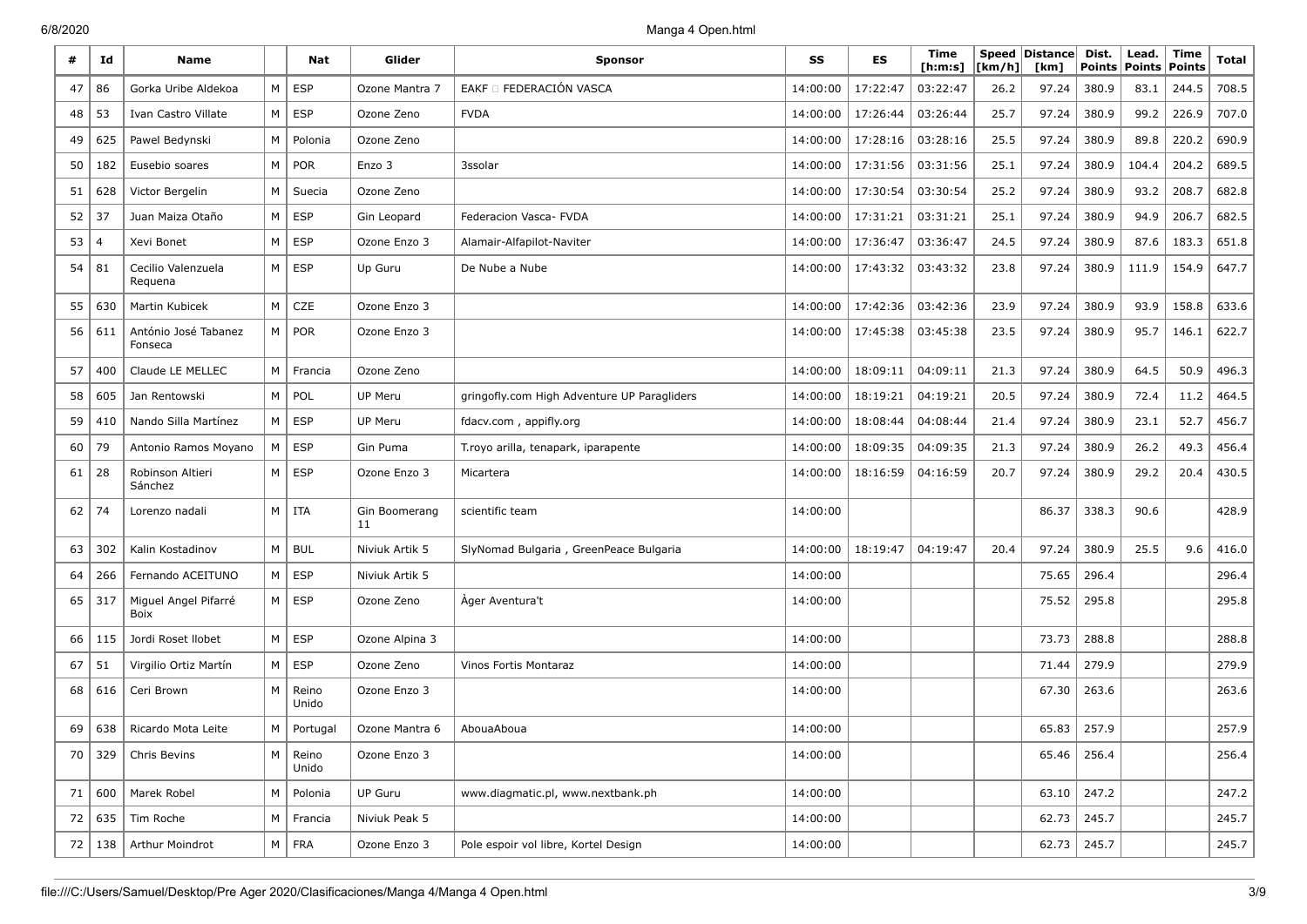| #  | Id             | <b>Name</b>                     |          | Nat            | Glider              | <b>Sponsor</b>                              | SS       | ES       | Time<br>[ h: m: s] | [km/h] | Speed Distance<br>[km] | Dist.<br>Points | Lead.<br><b>Points</b> | <b>Time</b><br><b>Points</b> | Total |
|----|----------------|---------------------------------|----------|----------------|---------------------|---------------------------------------------|----------|----------|--------------------|--------|------------------------|-----------------|------------------------|------------------------------|-------|
| 47 | 86             | Gorka Uribe Aldekoa             | M        | <b>ESP</b>     | Ozone Mantra 7      | EAKF Π FEDERACIÓN VASCA                     | 14:00:00 | 17:22:47 | 03:22:47           | 26.2   | 97.24                  | 380.9           | 83.1                   | 244.5                        | 708.5 |
| 48 | 53             | Ivan Castro Villate             | M        | ESP            | Ozone Zeno          | <b>FVDA</b>                                 | 14:00:00 | 17:26:44 | 03:26:44           | 25.7   | 97.24                  | 380.9           | 99.2                   | 226.9                        | 707.0 |
| 49 | 625            | Pawel Bedynski                  | M        | Polonia        | Ozone Zeno          |                                             | 14:00:00 | 17:28:16 | 03:28:16           | 25.5   | 97.24                  | 380.9           | 89.8                   | 220.2                        | 690.9 |
| 50 | 182            | Eusebio soares                  | M        | POR            | Enzo 3              | 3ssolar                                     | 14:00:00 | 17:31:56 | 03:31:56           | 25.1   | 97.24                  | 380.9           | 104.4                  | 204.2                        | 689.5 |
| 51 | 628            | Victor Bergelin                 | M        | Suecia         | Ozone Zeno          |                                             | 14:00:00 | 17:30:54 | 03:30:54           | 25.2   | 97.24                  | 380.9           | 93.2                   | 208.7                        | 682.8 |
| 52 | 37             | Juan Maiza Otaño                | M        | <b>ESP</b>     | Gin Leopard         | Federacion Vasca- FVDA                      | 14:00:00 | 17:31:21 | 03:31:21           | 25.1   | 97.24                  | 380.9           | 94.9                   | 206.7                        | 682.5 |
| 53 | $\overline{4}$ | Xevi Bonet                      | M        | <b>ESP</b>     | Ozone Enzo 3        | Alamair-Alfapilot-Naviter                   | 14:00:00 | 17:36:47 | 03:36:47           | 24.5   | 97.24                  | 380.9           | 87.6                   | 183.3                        | 651.8 |
| 54 | 81             | Cecilio Valenzuela<br>Requena   | M        | <b>ESP</b>     | Up Guru             | De Nube a Nube                              | 14:00:00 | 17:43:32 | 03:43:32           | 23.8   | 97.24                  | 380.9           | 111.9                  | 154.9                        | 647.7 |
| 55 | 630            | Martin Kubicek                  | M        | CZE            | Ozone Enzo 3        |                                             | 14:00:00 | 17:42:36 | 03:42:36           | 23.9   | 97.24                  | 380.9           | 93.9                   | 158.8                        | 633.6 |
| 56 | 611            | António José Tabanez<br>Fonseca |          | M   POR        | Ozone Enzo 3        |                                             | 14:00:00 | 17:45:38 | 03:45:38           | 23.5   | 97.24                  | 380.9           | 95.7                   | 146.1                        | 622.7 |
| 57 | 400            | Claude LE MELLEC                | M        | Francia        | Ozone Zeno          |                                             | 14:00:00 | 18:09:11 | 04:09:11           | 21.3   | 97.24                  | 380.9           | 64.5                   | 50.9                         | 496.3 |
| 58 | 605            | Jan Rentowski                   | M        | POL            | UP Meru             | gringofly.com High Adventure UP Paragliders | 14:00:00 | 18:19:21 | 04:19:21           | 20.5   | 97.24                  | 380.9           | 72.4                   | 11.2                         | 464.5 |
| 59 | 410            | Nando Silla Martínez            | $M \mid$ | ESP            | UP Meru             | fdacv.com, appifly.org                      | 14:00:00 | 18:08:44 | 04:08:44           | 21.4   | 97.24                  | 380.9           | 23.1                   | 52.7                         | 456.7 |
| 60 | 79             | Antonio Ramos Moyano            | M        | <b>ESP</b>     | Gin Puma            | T. royo arilla, tenapark, iparapente        | 14:00:00 | 18:09:35 | 04:09:35           | 21.3   | 97.24                  | 380.9           | 26.2                   | 49.3                         | 456.4 |
| 61 | 28             | Robinson Altieri<br>Sánchez     | M        | ESP            | Ozone Enzo 3        | Micartera                                   | 14:00:00 | 18:16:59 | 04:16:59           | 20.7   | 97.24                  | 380.9           | 29.2                   | 20.4                         | 430.5 |
| 62 | 74             | Lorenzo nadali                  | M        | ITA            | Gin Boomerang<br>11 | scientific team                             | 14:00:00 |          |                    |        | 86.37                  | 338.3           | 90.6                   |                              | 428.9 |
| 63 | 302            | Kalin Kostadinov                | M        | BUL            | Niviuk Artik 5      | SlyNomad Bulgaria, GreenPeace Bulgaria      | 14:00:00 | 18:19:47 | 04:19:47           | 20.4   | 97.24                  | 380.9           | 25.5                   | 9.6                          | 416.0 |
| 64 | 266            | Fernando ACEITUNO               | М        | <b>ESP</b>     | Niviuk Artik 5      |                                             | 14:00:00 |          |                    |        | 75.65                  | 296.4           |                        |                              | 296.4 |
| 65 | 317            | Miguel Angel Pifarré<br>Boix    | M        | ESP            | Ozone Zeno          | Ager Aventura't                             | 14:00:00 |          |                    |        | 75.52                  | 295.8           |                        |                              | 295.8 |
| 66 | 115            | Jordi Roset Ilobet              | M        | <b>ESP</b>     | Ozone Alpina 3      |                                             | 14:00:00 |          |                    |        | 73.73                  | 288.8           |                        |                              | 288.8 |
| 67 | 51             | Virgilio Ortiz Martín           | M        | <b>ESP</b>     | Ozone Zeno          | Vinos Fortis Montaraz                       | 14:00:00 |          |                    |        | 71.44                  | 279.9           |                        |                              | 279.9 |
| 68 | 616            | Ceri Brown                      | M        | Reino<br>Unido | Ozone Enzo 3        |                                             | 14:00:00 |          |                    |        | 67.30                  | 263.6           |                        |                              | 263.6 |
| 69 | 638            | Ricardo Mota Leite              | M        | Portugal       | Ozone Mantra 6      | AbouaAboua                                  | 14:00:00 |          |                    |        | 65.83                  | 257.9           |                        |                              | 257.9 |
| 70 | 329            | Chris Bevins                    | M        | Reino<br>Unido | Ozone Enzo 3        |                                             | 14:00:00 |          |                    |        | 65.46                  | 256.4           |                        |                              | 256.4 |
| 71 | 600            | Marek Robel                     | М        | Polonia        | UP Guru             | www.diagmatic.pl, www.nextbank.ph           | 14:00:00 |          |                    |        | 63.10                  | 247.2           |                        |                              | 247.2 |
| 72 | 635            | Tim Roche                       | M        | Francia        | Niviuk Peak 5       |                                             | 14:00:00 |          |                    |        | 62.73                  | 245.7           |                        |                              | 245.7 |
| 72 | 138            | Arthur Moindrot                 | M        | FRA            | Ozone Enzo 3        | Pole espoir vol libre, Kortel Design        | 14:00:00 |          |                    |        | 62.73                  | 245.7           |                        |                              | 245.7 |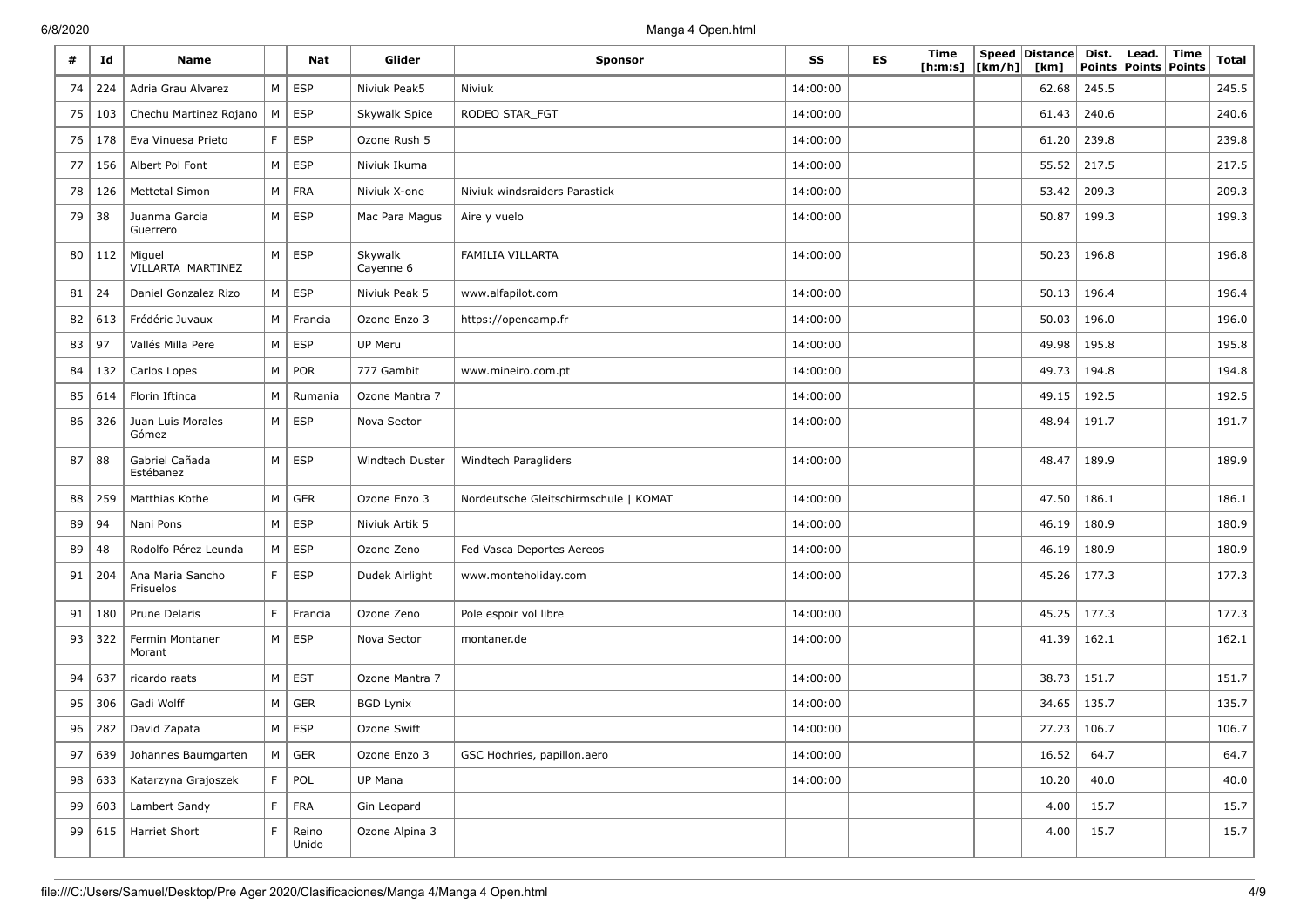| #  | Id  | <b>Name</b>                   |                | Nat            | Glider               | <b>Sponsor</b>                        | SS       | ES | Time<br>[h:m:s] | [km/h] | Speed Distance<br>[km] | Dist.<br><b>Points</b> | Lead.<br><b>Points Points</b> | Time | Total |
|----|-----|-------------------------------|----------------|----------------|----------------------|---------------------------------------|----------|----|-----------------|--------|------------------------|------------------------|-------------------------------|------|-------|
| 74 | 224 | Adria Grau Alvarez            |                | $M \vert$ ESP  | Niviuk Peak5         | Niviuk                                | 14:00:00 |    |                 |        | 62.68                  | 245.5                  |                               |      | 245.5 |
| 75 | 103 | Chechu Martinez Rojano        | M              | <b>ESP</b>     | Skywalk Spice        | RODEO STAR_FGT                        | 14:00:00 |    |                 |        | 61.43                  | 240.6                  |                               |      | 240.6 |
| 76 | 178 | Eva Vinuesa Prieto            | F              | <b>ESP</b>     | Ozone Rush 5         |                                       | 14:00:00 |    |                 |        | 61.20                  | 239.8                  |                               |      | 239.8 |
| 77 | 156 | Albert Pol Font               | M              | ESP            | Niviuk Ikuma         |                                       | 14:00:00 |    |                 |        | 55.52                  | 217.5                  |                               |      | 217.5 |
| 78 | 126 | <b>Mettetal Simon</b>         |                | $M$   FRA      | Niviuk X-one         | Niviuk windsraiders Parastick         | 14:00:00 |    |                 |        | 53.42                  | 209.3                  |                               |      | 209.3 |
| 79 | 38  | Juanma Garcia<br>Guerrero     |                | $M \vert$ ESP  | Mac Para Magus       | Aire y vuelo                          | 14:00:00 |    |                 |        | 50.87                  | 199.3                  |                               |      | 199.3 |
| 80 | 112 | Miguel<br>VILLARTA_MARTINEZ   |                | $M \vert$ ESP  | Skywalk<br>Cayenne 6 | FAMILIA VILLARTA                      | 14:00:00 |    |                 |        | 50.23                  | 196.8                  |                               |      | 196.8 |
| 81 | 24  | Daniel Gonzalez Rizo          |                | $M \vert$ ESP  | Niviuk Peak 5        | www.alfapilot.com                     | 14:00:00 |    |                 |        | 50.13                  | 196.4                  |                               |      | 196.4 |
| 82 | 613 | Frédéric Juvaux               |                | M   Francia    | Ozone Enzo 3         | https://opencamp.fr                   | 14:00:00 |    |                 |        | 50.03                  | 196.0                  |                               |      | 196.0 |
| 83 | 97  | Vallés Milla Pere             | M <sub>1</sub> | ESP            | UP Meru              |                                       | 14:00:00 |    |                 |        | 49.98                  | 195.8                  |                               |      | 195.8 |
| 84 | 132 | Carlos Lopes                  |                | M   POR        | 777 Gambit           | www.mineiro.com.pt                    | 14:00:00 |    |                 |        | 49.73                  | 194.8                  |                               |      | 194.8 |
| 85 | 614 | Florin Iftinca                | M              | Rumania        | Ozone Mantra 7       |                                       | 14:00:00 |    |                 |        | 49.15                  | 192.5                  |                               |      | 192.5 |
| 86 | 326 | Juan Luis Morales<br>Gómez    |                | $M \vert$ ESP  | Nova Sector          |                                       | 14:00:00 |    |                 |        | 48.94                  | 191.7                  |                               |      | 191.7 |
| 87 | 88  | Gabriel Cañada<br>Estébanez   |                | $M \vert$ ESP  | Windtech Duster      | Windtech Paragliders                  | 14:00:00 |    |                 |        | 48.47                  | 189.9                  |                               |      | 189.9 |
| 88 | 259 | Matthias Kothe                | M              | <b>GER</b>     | Ozone Enzo 3         | Nordeutsche Gleitschirmschule   KOMAT | 14:00:00 |    |                 |        | 47.50                  | 186.1                  |                               |      | 186.1 |
| 89 | 94  | Nani Pons                     |                | $M \vert$ ESP  | Niviuk Artik 5       |                                       | 14:00:00 |    |                 |        | 46.19                  | 180.9                  |                               |      | 180.9 |
| 89 | 48  | Rodolfo Pérez Leunda          | M <sub>1</sub> | ESP            | Ozone Zeno           | Fed Vasca Deportes Aereos             | 14:00:00 |    |                 |        | 46.19                  | 180.9                  |                               |      | 180.9 |
| 91 | 204 | Ana Maria Sancho<br>Frisuelos | F              | ESP            | Dudek Airlight       | www.monteholiday.com                  | 14:00:00 |    |                 |        | 45.26                  | 177.3                  |                               |      | 177.3 |
| 91 | 180 | Prune Delaris                 | F              | Francia        | Ozone Zeno           | Pole espoir vol libre                 | 14:00:00 |    |                 |        | 45.25                  | 177.3                  |                               |      | 177.3 |
| 93 | 322 | Fermin Montaner<br>Morant     | M <sub>1</sub> | ESP            | Nova Sector          | montaner.de                           | 14:00:00 |    |                 |        | 41.39                  | 162.1                  |                               |      | 162.1 |
| 94 | 637 | ricardo raats                 | M              | $\vert$ EST    | Ozone Mantra 7       |                                       | 14:00:00 |    |                 |        | 38.73                  | 151.7                  |                               |      | 151.7 |
| 95 | 306 | Gadi Wolff                    | M              | <b>GER</b>     | <b>BGD Lynix</b>     |                                       | 14:00:00 |    |                 |        | 34.65                  | 135.7                  |                               |      | 135.7 |
| 96 | 282 | David Zapata                  |                | $M \vert$ ESP  | Ozone Swift          |                                       | 14:00:00 |    |                 |        | 27.23                  | 106.7                  |                               |      | 106.7 |
| 97 | 639 | Johannes Baumgarten           |                | $M \vert$ GER  | Ozone Enzo 3         | GSC Hochries, papillon.aero           | 14:00:00 |    |                 |        | 16.52                  | 64.7                   |                               |      | 64.7  |
| 98 | 633 | Katarzyna Grajoszek           | F              | POL            | UP Mana              |                                       | 14:00:00 |    |                 |        | 10.20                  | 40.0                   |                               |      | 40.0  |
| 99 | 603 | Lambert Sandy                 | $\mathsf F$    | FRA            | Gin Leopard          |                                       |          |    |                 |        | 4.00                   | 15.7                   |                               |      | 15.7  |
| 99 | 615 | Harriet Short                 | F              | Reino<br>Unido | Ozone Alpina 3       |                                       |          |    |                 |        | 4.00                   | 15.7                   |                               |      | 15.7  |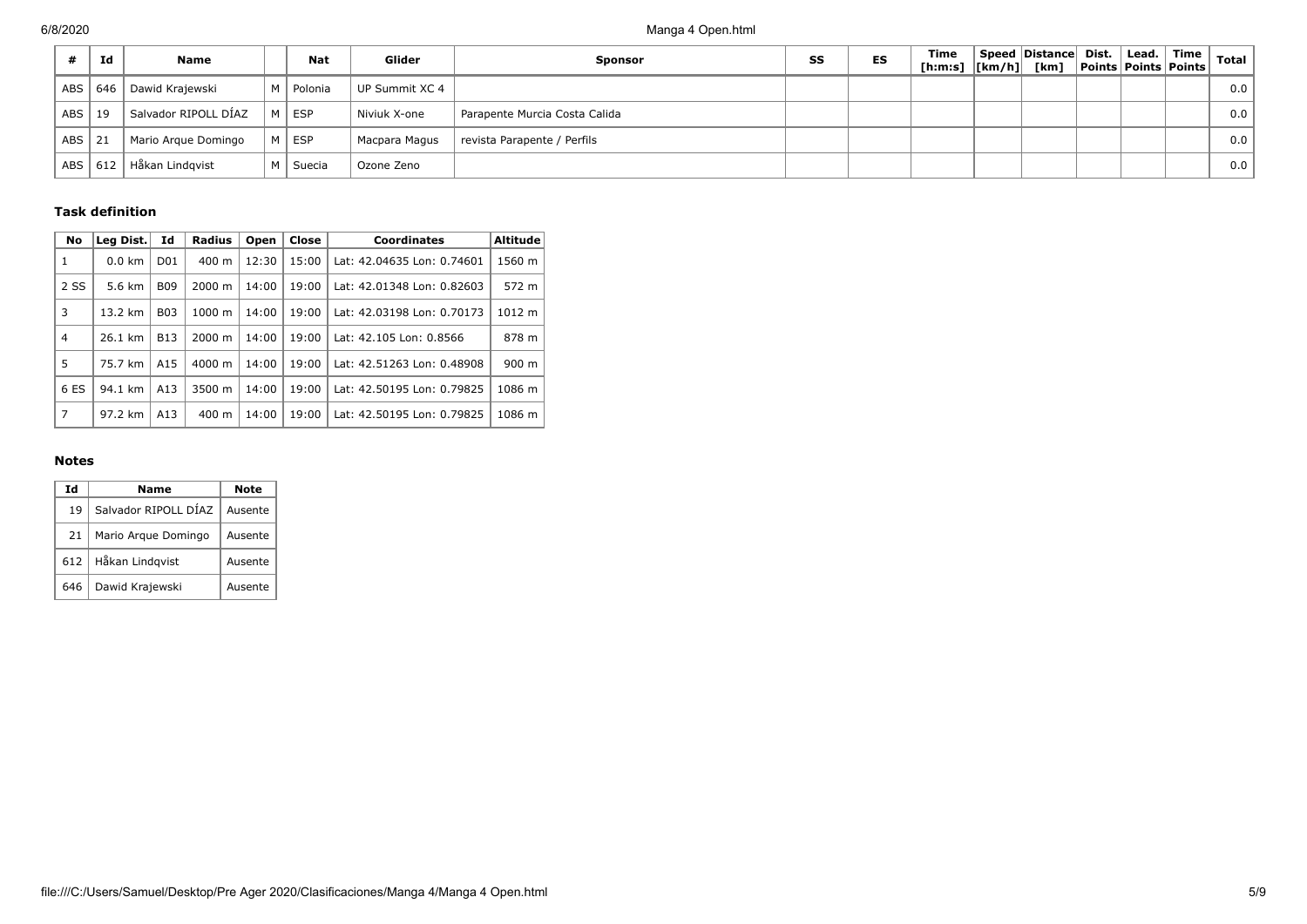|            | Id  | <b>Name</b>          | <b>Nat</b>  | Glider         | <b>Sponsor</b>                | SS | ES | Time<br>[h:m:s] $\lfloor km/h \rfloor$ [km] | Speed Distance Dist. | Lead.<br><b>Points Points Points</b> | Time | <b>Total</b> |
|------------|-----|----------------------|-------------|----------------|-------------------------------|----|----|---------------------------------------------|----------------------|--------------------------------------|------|--------------|
| <b>ABS</b> | 646 | Dawid Krajewski      | M   Polonia | UP Summit XC 4 |                               |    |    |                                             |                      |                                      |      | 0.0          |
| <b>ABS</b> | 19  | Salvador RIPOLL DÍAZ | M   ESP     | Niviuk X-one   | Parapente Murcia Costa Calida |    |    |                                             |                      |                                      |      | 0.0          |
| <b>ABS</b> | 21  | Mario Argue Domingo  | M ESP       | Macpara Magus  | revista Parapente / Perfils   |    |    |                                             |                      |                                      |      | 0.0          |
| <b>ABS</b> | 612 | Håkan Lindgvist      | M   Suecia  | Ozone Zeno     |                               |    |    |                                             |                      |                                      |      | 0.0          |

### **Task definition**

| No             | Leg Dist. | Id              | Radius             | Open  | Close | <b>Coordinates</b>         | <b>Altitude</b> |
|----------------|-----------|-----------------|--------------------|-------|-------|----------------------------|-----------------|
| $\mathbf{1}$   | $0.0$ km  | D <sub>01</sub> | $400 \text{ m}$    | 12:30 | 15:00 | Lat: 42.04635 Lon: 0.74601 | 1560 m          |
| 2 SS           | 5.6 km    | <b>B09</b>      | $2000 \; \text{m}$ | 14:00 | 19:00 | Lat: 42.01348 Lon: 0.82603 | 572 m           |
| 3              | 13.2 km   | <b>B03</b>      | $1000 \;{\rm m}$   | 14:00 | 19:00 | Lat: 42.03198 Lon: 0.70173 | 1012 m          |
| $\overline{4}$ | 26.1 km   | <b>B13</b>      | $2000 \; \text{m}$ | 14:00 | 19:00 | Lat: 42.105 Lon: 0.8566    | 878 m           |
| 5              | 75.7 km   | A <sub>15</sub> | 4000 m             | 14:00 | 19:00 | Lat: 42.51263 Lon: 0.48908 | $900 \text{ m}$ |
| 6 ES           | 94.1 km   | A13             | 3500 m             | 14:00 | 19:00 | Lat: 42.50195 Lon: 0.79825 | 1086 m          |
| 7              | 97.2 km   | A13             | $400 \text{ m}$    | 14:00 | 19:00 | Lat: 42.50195 Lon: 0.79825 | 1086 m          |

#### **Notes**

| Ιd  | Name                 | Note    |
|-----|----------------------|---------|
| 19  | Salvador RIPOLL DÍAZ | Ausente |
| 21  | Mario Arque Domingo  | Ausente |
| 612 | Håkan Lindqvist      | Ausente |
| 646 | Dawid Krajewski      | Ausente |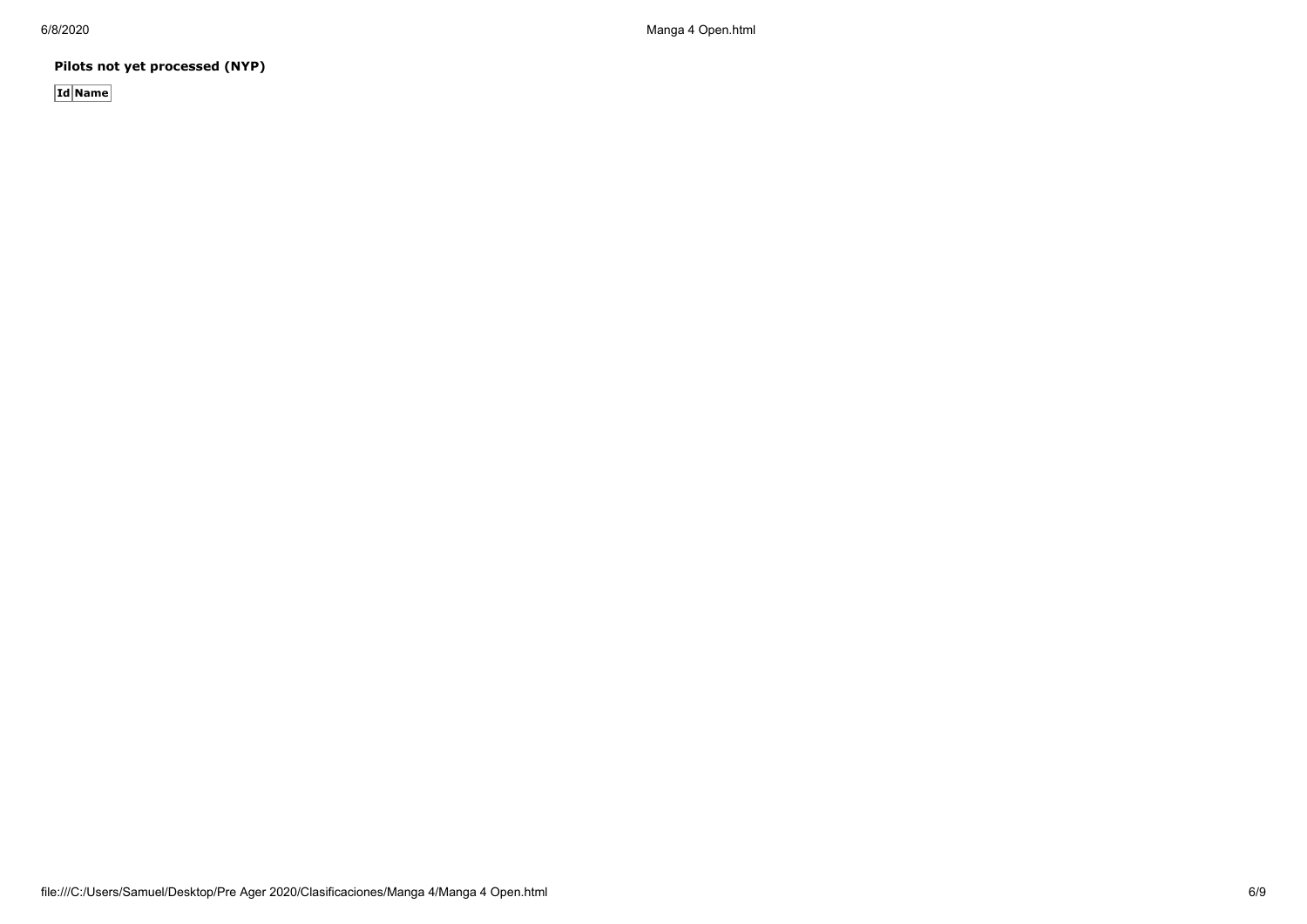**Pilots not yet processed (NYP)**

**Id Name**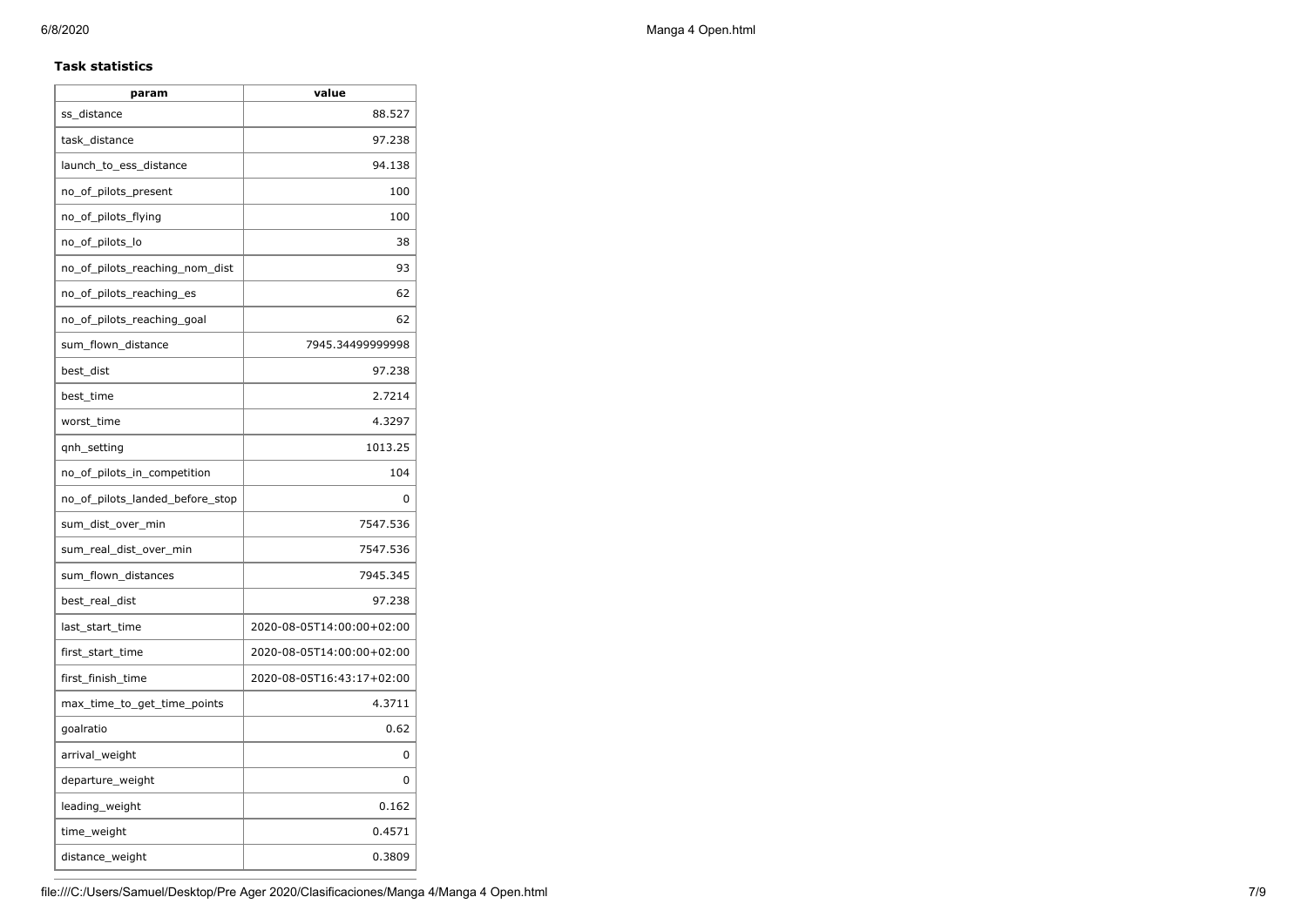### **Task statistics**

| param                           | value                     |
|---------------------------------|---------------------------|
| ss_distance                     | 88.527                    |
| task_distance                   | 97.238                    |
| launch_to_ess_distance          | 94.138                    |
| no_of_pilots_present            | 100                       |
| no_of_pilots_flying             | 100                       |
| no_of_pilots_lo                 | 38                        |
| no_of_pilots_reaching_nom_dist  | 93                        |
| no_of_pilots_reaching_es        | 62                        |
| no_of_pilots_reaching_goal      | 62                        |
| sum_flown_distance              | 7945.34499999998          |
| best_dist                       | 97.238                    |
| best_time                       | 2.7214                    |
| worst_time                      | 4.3297                    |
| gnh_setting                     | 1013.25                   |
| no_of_pilots_in_competition     | 104                       |
| no_of_pilots_landed_before_stop | 0                         |
| sum_dist_over_min               | 7547.536                  |
| sum_real_dist_over_min          | 7547.536                  |
| sum_flown_distances             | 7945.345                  |
| best_real_dist                  | 97.238                    |
| last_start_time                 | 2020-08-05T14:00:00+02:00 |
| first_start_time                | 2020-08-05T14:00:00+02:00 |
| first_finish_time               | 2020-08-05T16:43:17+02:00 |
| max_time_to_get_time_points     | 4.3711                    |
| goalratio                       | 0.62                      |
| arrival_weight                  | 0                         |
| departure_weight                | 0                         |
| leading_weight                  | 0.162                     |
| time_weight                     | 0.4571                    |
| distance_weight                 | 0.3809                    |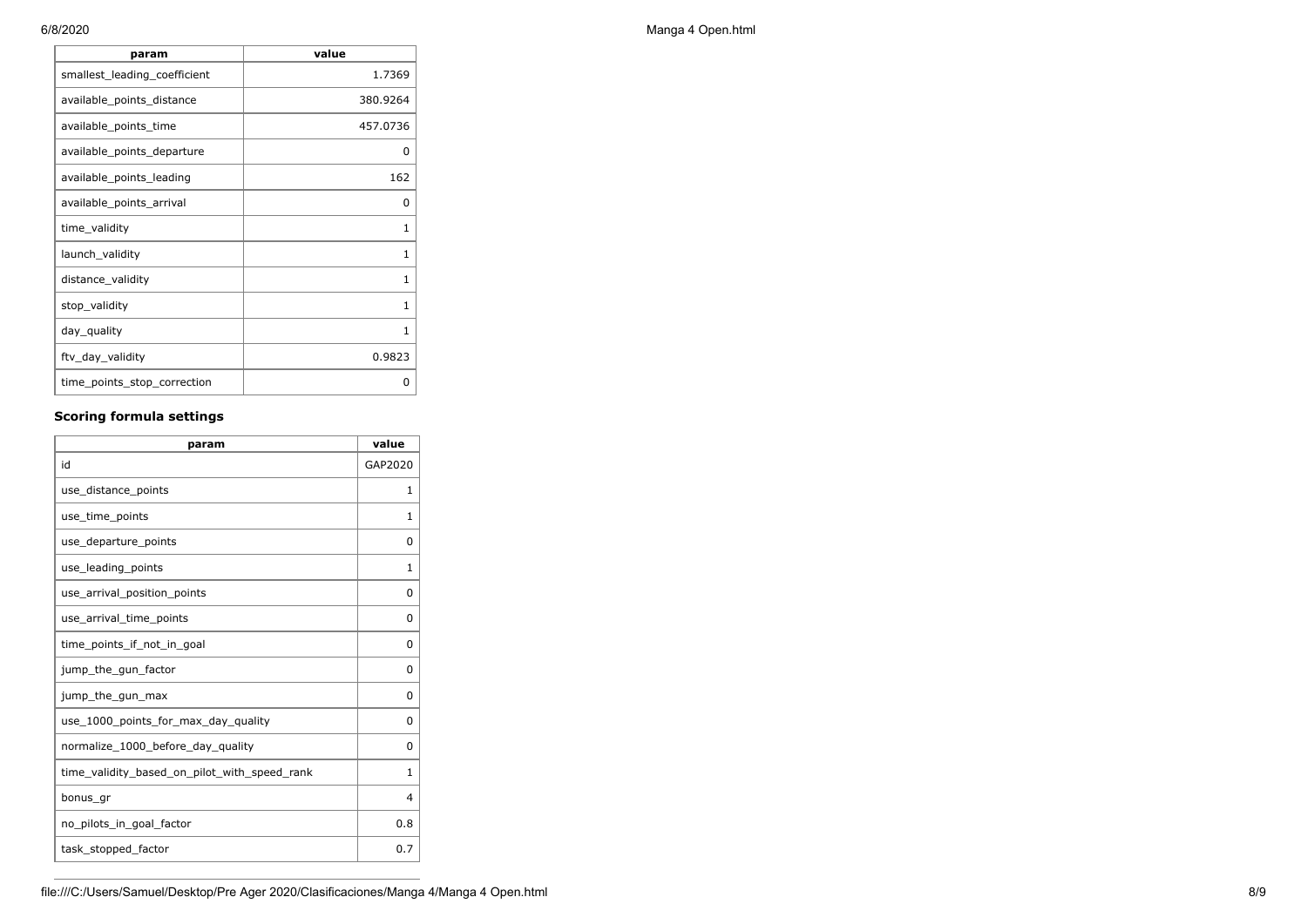| param                        | value    |
|------------------------------|----------|
| smallest leading coefficient | 1.7369   |
| available_points_distance    | 380.9264 |
| available_points_time        | 457.0736 |
| available_points_departure   | 0        |
| available_points_leading     | 162      |
| available_points_arrival     | 0        |
| time_validity                | 1        |
| launch_validity              | 1        |
| distance_validity            | 1        |
| stop_validity                | 1        |
| day_quality                  | 1        |
| ftv_day_validity             | 0.9823   |
| time_points_stop_correction  | o        |

## **Scoring formula settings**

| param                                        | value        |
|----------------------------------------------|--------------|
| id                                           | GAP2020      |
| use_distance_points                          | 1            |
| use_time_points                              | 1            |
| use_departure_points                         | $\Omega$     |
| use_leading_points                           | 1            |
| use_arrival_position_points                  | 0            |
| use_arrival_time_points                      | 0            |
| time points if not in goal                   | 0            |
| jump_the_gun_factor                          | $\Omega$     |
| jump_the_gun_max                             | 0            |
| use_1000_points_for_max_day_quality          | 0            |
| normalize_1000_before_day_quality            | $\Omega$     |
| time_validity_based_on_pilot_with_speed_rank | $\mathbf{1}$ |
| bonus gr                                     | 4            |
| no_pilots_in_goal_factor                     | 0.8          |
| task_stopped_factor                          | 0.7          |